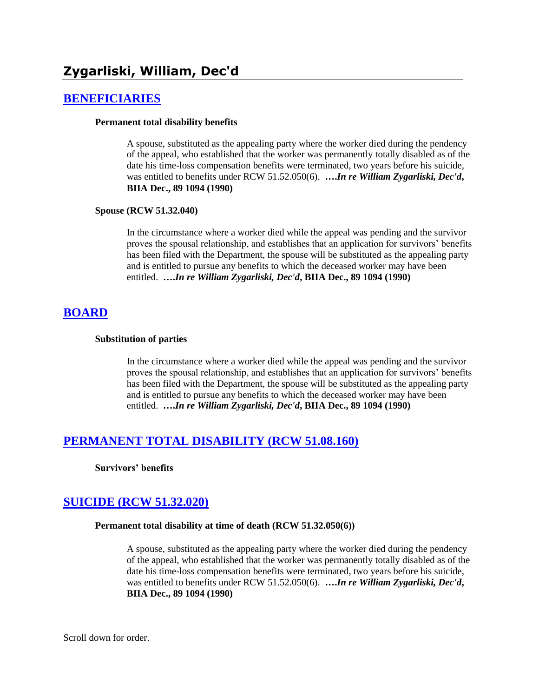## **[BENEFICIARIES](http://www.biia.wa.gov/SDSubjectIndex.html#BENEFICIARIES)**

#### **Permanent total disability benefits**

A spouse, substituted as the appealing party where the worker died during the pendency of the appeal, who established that the worker was permanently totally disabled as of the date his time-loss compensation benefits were terminated, two years before his suicide, was entitled to benefits under RCW 51.52.050(6). **….***In re William Zygarliski, Dec'd***, BIIA Dec., 89 1094 (1990)** 

#### **Spouse (RCW 51.32.040)**

In the circumstance where a worker died while the appeal was pending and the survivor proves the spousal relationship, and establishes that an application for survivors' benefits has been filed with the Department, the spouse will be substituted as the appealing party and is entitled to pursue any benefits to which the deceased worker may have been entitled. **….***In re William Zygarliski, Dec'd***, BIIA Dec., 89 1094 (1990)** 

# **[BOARD](http://www.biia.wa.gov/SDSubjectIndex.html#BOARD)**

### **Substitution of parties**

In the circumstance where a worker died while the appeal was pending and the survivor proves the spousal relationship, and establishes that an application for survivors' benefits has been filed with the Department, the spouse will be substituted as the appealing party and is entitled to pursue any benefits to which the deceased worker may have been entitled. **….***In re William Zygarliski, Dec'd***, BIIA Dec., 89 1094 (1990)** 

# **[PERMANENT TOTAL DISABILITY \(RCW 51.08.160\)](http://www.biia.wa.gov/SDSubjectIndex.html#PERMANENT_TOTAL_DISABILITY)**

**Survivors' benefits**

# **[SUICIDE \(RCW 51.32.020\)](http://www.biia.wa.gov/SDSubjectIndex.html#SUICIDE)**

### **Permanent total disability at time of death (RCW 51.32.050(6))**

A spouse, substituted as the appealing party where the worker died during the pendency of the appeal, who established that the worker was permanently totally disabled as of the date his time-loss compensation benefits were terminated, two years before his suicide, was entitled to benefits under RCW 51.52.050(6). **….***In re William Zygarliski, Dec'd***, BIIA Dec., 89 1094 (1990)** 

Scroll down for order.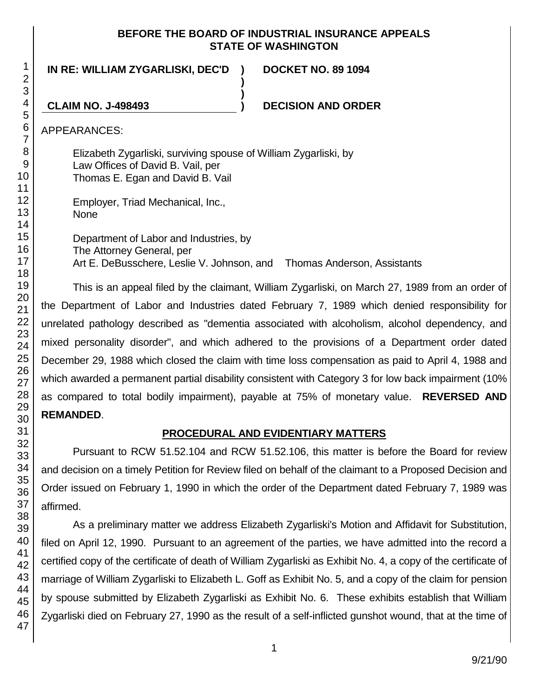## **BEFORE THE BOARD OF INDUSTRIAL INSURANCE APPEALS STATE OF WASHINGTON**

**IN RE: WILLIAM ZYGARLISKI, DEC'D )**

**DOCKET NO. 89 1094**

**CLAIM NO. J-498493 ) DECISION AND ORDER**

APPEARANCES:

Elizabeth Zygarliski, surviving spouse of William Zygarliski, by Law Offices of David B. Vail, per Thomas E. Egan and David B. Vail

Employer, Triad Mechanical, Inc., None

Department of Labor and Industries, by The Attorney General, per Art E. DeBusschere, Leslie V. Johnson, and Thomas Anderson, Assistants

**)**

**)**

This is an appeal filed by the claimant, William Zygarliski, on March 27, 1989 from an order of the Department of Labor and Industries dated February 7, 1989 which denied responsibility for unrelated pathology described as "dementia associated with alcoholism, alcohol dependency, and mixed personality disorder", and which adhered to the provisions of a Department order dated December 29, 1988 which closed the claim with time loss compensation as paid to April 4, 1988 and which awarded a permanent partial disability consistent with Category 3 for low back impairment (10% as compared to total bodily impairment), payable at 75% of monetary value. **REVERSED AND REMANDED**.

# **PROCEDURAL AND EVIDENTIARY MATTERS**

Pursuant to RCW 51.52.104 and RCW 51.52.106, this matter is before the Board for review and decision on a timely Petition for Review filed on behalf of the claimant to a Proposed Decision and Order issued on February 1, 1990 in which the order of the Department dated February 7, 1989 was affirmed.

As a preliminary matter we address Elizabeth Zygarliski's Motion and Affidavit for Substitution, filed on April 12, 1990. Pursuant to an agreement of the parties, we have admitted into the record a certified copy of the certificate of death of William Zygarliski as Exhibit No. 4, a copy of the certificate of marriage of William Zygarliski to Elizabeth L. Goff as Exhibit No. 5, and a copy of the claim for pension by spouse submitted by Elizabeth Zygarliski as Exhibit No. 6. These exhibits establish that William Zygarliski died on February 27, 1990 as the result of a self-inflicted gunshot wound, that at the time of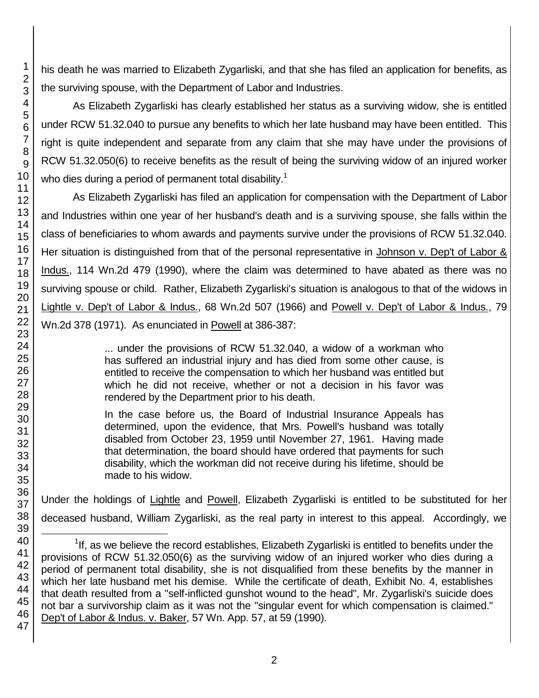his death he was married to Elizabeth Zygarliski, and that she has filed an application for benefits, as the surviving spouse, with the Department of Labor and Industries.

As Elizabeth Zygarliski has clearly established her status as a surviving widow, she is entitled under RCW 51.32.040 to pursue any benefits to which her late husband may have been entitled. This right is quite independent and separate from any claim that she may have under the provisions of RCW 51.32.050(6) to receive benefits as the result of being the surviving widow of an injured worker who dies during a period of permanent total disability.<sup>1</sup>

As Elizabeth Zygarliski has filed an application for compensation with the Department of Labor and Industries within one year of her husband's death and is a surviving spouse, she falls within the class of beneficiaries to whom awards and payments survive under the provisions of RCW 51.32.040. Her situation is distinguished from that of the personal representative in Johnson v. Dep't of Labor & Indus., 114 Wn.2d 479 (1990), where the claim was determined to have abated as there was no surviving spouse or child. Rather, Elizabeth Zygarliski's situation is analogous to that of the widows in Lightle v. Dep't of Labor & Indus., 68 Wn.2d 507 (1966) and Powell v. Dep't of Labor & Indus., 79 Wn.2d 378 (1971). As enunciated in Powell at 386-387:

> ... under the provisions of RCW 51.32.040, a widow of a workman who has suffered an industrial injury and has died from some other cause, is entitled to receive the compensation to which her husband was entitled but which he did not receive, whether or not a decision in his favor was rendered by the Department prior to his death.

> In the case before us, the Board of Industrial Insurance Appeals has determined, upon the evidence, that Mrs. Powell's husband was totally disabled from October 23, 1959 until November 27, 1961. Having made that determination, the board should have ordered that payments for such disability, which the workman did not receive during his lifetime, should be made to his widow.

Under the holdings of Lightle and Powell, Elizabeth Zygarliski is entitled to be substituted for her deceased husband, William Zygarliski, as the real party in interest to this appeal. Accordingly, we

l

 $1$ If, as we believe the record establishes, Elizabeth Zygarliski is entitled to benefits under the provisions of RCW 51.32.050(6) as the surviving widow of an injured worker who dies during a period of permanent total disability, she is not disqualified from these benefits by the manner in which her late husband met his demise. While the certificate of death, Exhibit No. 4, establishes that death resulted from a "self-inflicted gunshot wound to the head", Mr. Zygarliski's suicide does not bar a survivorship claim as it was not the "singular event for which compensation is claimed." Dep't of Labor & Indus. v. Baker, 57 Wn. App. 57, at 59 (1990).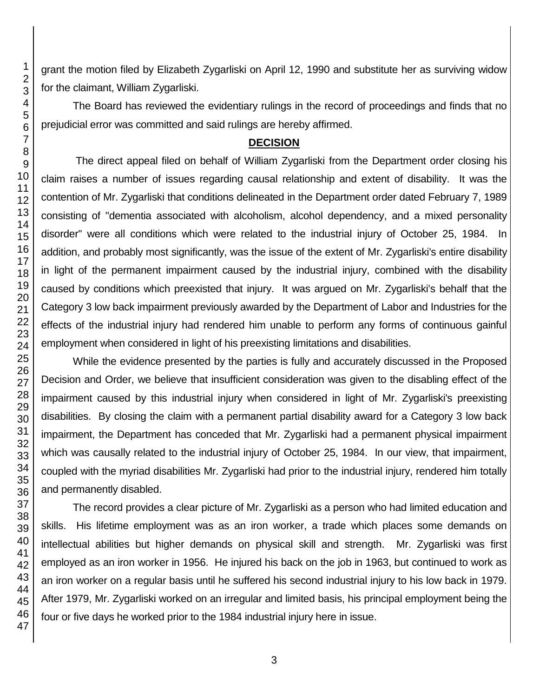grant the motion filed by Elizabeth Zygarliski on April 12, 1990 and substitute her as surviving widow for the claimant, William Zygarliski.

The Board has reviewed the evidentiary rulings in the record of proceedings and finds that no prejudicial error was committed and said rulings are hereby affirmed.

## **DECISION**

The direct appeal filed on behalf of William Zygarliski from the Department order closing his claim raises a number of issues regarding causal relationship and extent of disability. It was the contention of Mr. Zygarliski that conditions delineated in the Department order dated February 7, 1989 consisting of "dementia associated with alcoholism, alcohol dependency, and a mixed personality disorder" were all conditions which were related to the industrial injury of October 25, 1984. In addition, and probably most significantly, was the issue of the extent of Mr. Zygarliski's entire disability in light of the permanent impairment caused by the industrial injury, combined with the disability caused by conditions which preexisted that injury. It was argued on Mr. Zygarliski's behalf that the Category 3 low back impairment previously awarded by the Department of Labor and Industries for the effects of the industrial injury had rendered him unable to perform any forms of continuous gainful employment when considered in light of his preexisting limitations and disabilities.

While the evidence presented by the parties is fully and accurately discussed in the Proposed Decision and Order, we believe that insufficient consideration was given to the disabling effect of the impairment caused by this industrial injury when considered in light of Mr. Zygarliski's preexisting disabilities. By closing the claim with a permanent partial disability award for a Category 3 low back impairment, the Department has conceded that Mr. Zygarliski had a permanent physical impairment which was causally related to the industrial injury of October 25, 1984. In our view, that impairment, coupled with the myriad disabilities Mr. Zygarliski had prior to the industrial injury, rendered him totally and permanently disabled.

The record provides a clear picture of Mr. Zygarliski as a person who had limited education and skills. His lifetime employment was as an iron worker, a trade which places some demands on intellectual abilities but higher demands on physical skill and strength. Mr. Zygarliski was first employed as an iron worker in 1956. He injured his back on the job in 1963, but continued to work as an iron worker on a regular basis until he suffered his second industrial injury to his low back in 1979. After 1979, Mr. Zygarliski worked on an irregular and limited basis, his principal employment being the four or five days he worked prior to the 1984 industrial injury here in issue.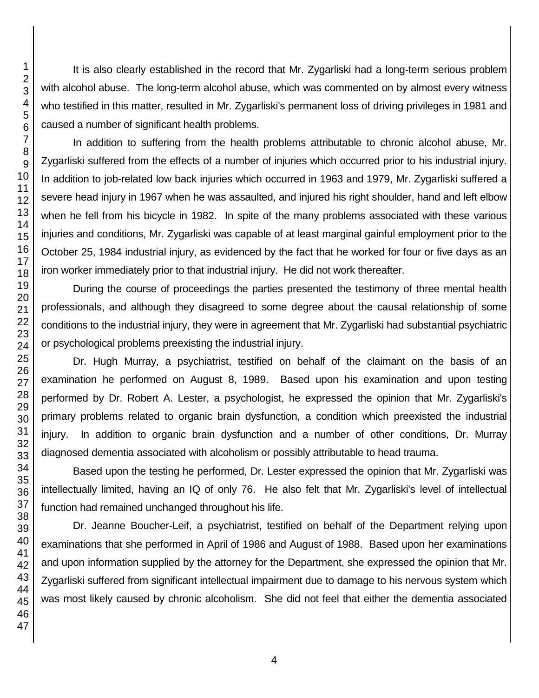It is also clearly established in the record that Mr. Zygarliski had a long-term serious problem with alcohol abuse. The long-term alcohol abuse, which was commented on by almost every witness who testified in this matter, resulted in Mr. Zygarliski's permanent loss of driving privileges in 1981 and caused a number of significant health problems.

In addition to suffering from the health problems attributable to chronic alcohol abuse, Mr. Zygarliski suffered from the effects of a number of injuries which occurred prior to his industrial injury. In addition to job-related low back injuries which occurred in 1963 and 1979, Mr. Zygarliski suffered a severe head injury in 1967 when he was assaulted, and injured his right shoulder, hand and left elbow when he fell from his bicycle in 1982. In spite of the many problems associated with these various injuries and conditions, Mr. Zygarliski was capable of at least marginal gainful employment prior to the October 25, 1984 industrial injury, as evidenced by the fact that he worked for four or five days as an iron worker immediately prior to that industrial injury. He did not work thereafter.

During the course of proceedings the parties presented the testimony of three mental health professionals, and although they disagreed to some degree about the causal relationship of some conditions to the industrial injury, they were in agreement that Mr. Zygarliski had substantial psychiatric or psychological problems preexisting the industrial injury.

Dr. Hugh Murray, a psychiatrist, testified on behalf of the claimant on the basis of an examination he performed on August 8, 1989. Based upon his examination and upon testing performed by Dr. Robert A. Lester, a psychologist, he expressed the opinion that Mr. Zygarliski's primary problems related to organic brain dysfunction, a condition which preexisted the industrial injury. In addition to organic brain dysfunction and a number of other conditions, Dr. Murray diagnosed dementia associated with alcoholism or possibly attributable to head trauma.

Based upon the testing he performed, Dr. Lester expressed the opinion that Mr. Zygarliski was intellectually limited, having an IQ of only 76. He also felt that Mr. Zygarliski's level of intellectual function had remained unchanged throughout his life.

Dr. Jeanne Boucher-Leif, a psychiatrist, testified on behalf of the Department relying upon examinations that she performed in April of 1986 and August of 1988. Based upon her examinations and upon information supplied by the attorney for the Department, she expressed the opinion that Mr. Zygarliski suffered from significant intellectual impairment due to damage to his nervous system which was most likely caused by chronic alcoholism. She did not feel that either the dementia associated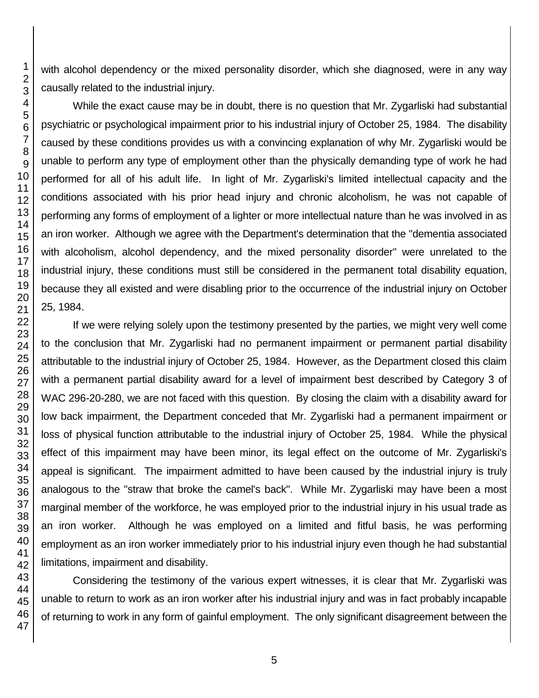with alcohol dependency or the mixed personality disorder, which she diagnosed, were in any way causally related to the industrial injury.

While the exact cause may be in doubt, there is no question that Mr. Zygarliski had substantial psychiatric or psychological impairment prior to his industrial injury of October 25, 1984. The disability caused by these conditions provides us with a convincing explanation of why Mr. Zygarliski would be unable to perform any type of employment other than the physically demanding type of work he had performed for all of his adult life. In light of Mr. Zygarliski's limited intellectual capacity and the conditions associated with his prior head injury and chronic alcoholism, he was not capable of performing any forms of employment of a lighter or more intellectual nature than he was involved in as an iron worker. Although we agree with the Department's determination that the "dementia associated with alcoholism, alcohol dependency, and the mixed personality disorder" were unrelated to the industrial injury, these conditions must still be considered in the permanent total disability equation, because they all existed and were disabling prior to the occurrence of the industrial injury on October 25, 1984.

If we were relying solely upon the testimony presented by the parties, we might very well come to the conclusion that Mr. Zygarliski had no permanent impairment or permanent partial disability attributable to the industrial injury of October 25, 1984. However, as the Department closed this claim with a permanent partial disability award for a level of impairment best described by Category 3 of WAC 296-20-280, we are not faced with this question. By closing the claim with a disability award for low back impairment, the Department conceded that Mr. Zygarliski had a permanent impairment or loss of physical function attributable to the industrial injury of October 25, 1984. While the physical effect of this impairment may have been minor, its legal effect on the outcome of Mr. Zygarliski's appeal is significant. The impairment admitted to have been caused by the industrial injury is truly analogous to the "straw that broke the camel's back". While Mr. Zygarliski may have been a most marginal member of the workforce, he was employed prior to the industrial injury in his usual trade as an iron worker. Although he was employed on a limited and fitful basis, he was performing employment as an iron worker immediately prior to his industrial injury even though he had substantial limitations, impairment and disability.

Considering the testimony of the various expert witnesses, it is clear that Mr. Zygarliski was unable to return to work as an iron worker after his industrial injury and was in fact probably incapable of returning to work in any form of gainful employment. The only significant disagreement between the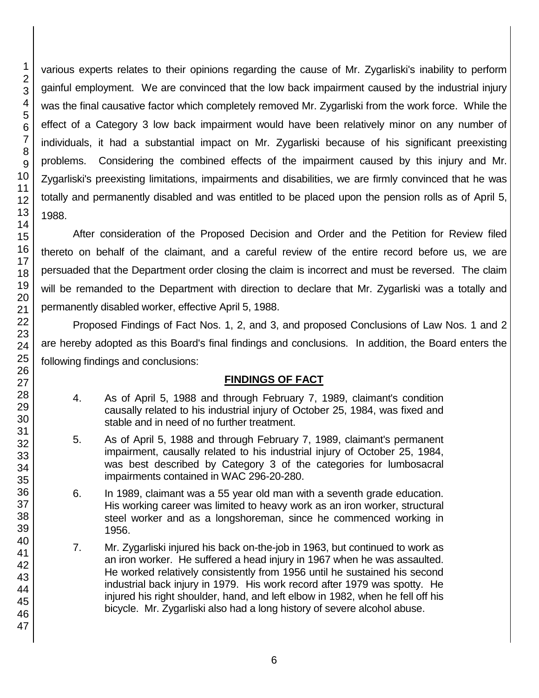46 47

1 2 3 various experts relates to their opinions regarding the cause of Mr. Zygarliski's inability to perform gainful employment. We are convinced that the low back impairment caused by the industrial injury was the final causative factor which completely removed Mr. Zygarliski from the work force. While the effect of a Category 3 low back impairment would have been relatively minor on any number of individuals, it had a substantial impact on Mr. Zygarliski because of his significant preexisting problems. Considering the combined effects of the impairment caused by this injury and Mr. Zygarliski's preexisting limitations, impairments and disabilities, we are firmly convinced that he was totally and permanently disabled and was entitled to be placed upon the pension rolls as of April 5,

After consideration of the Proposed Decision and Order and the Petition for Review filed thereto on behalf of the claimant, and a careful review of the entire record before us, we are persuaded that the Department order closing the claim is incorrect and must be reversed. The claim will be remanded to the Department with direction to declare that Mr. Zygarliski was a totally and permanently disabled worker, effective April 5, 1988.

Proposed Findings of Fact Nos. 1, 2, and 3, and proposed Conclusions of Law Nos. 1 and 2 are hereby adopted as this Board's final findings and conclusions. In addition, the Board enters the following findings and conclusions:

# **FINDINGS OF FACT**

- 4. As of April 5, 1988 and through February 7, 1989, claimant's condition causally related to his industrial injury of October 25, 1984, was fixed and stable and in need of no further treatment.
- 5. As of April 5, 1988 and through February 7, 1989, claimant's permanent impairment, causally related to his industrial injury of October 25, 1984, was best described by Category 3 of the categories for lumbosacral impairments contained in WAC 296-20-280.
- 6. In 1989, claimant was a 55 year old man with a seventh grade education. His working career was limited to heavy work as an iron worker, structural steel worker and as a longshoreman, since he commenced working in 1956.
- 7. Mr. Zygarliski injured his back on-the-job in 1963, but continued to work as an iron worker. He suffered a head injury in 1967 when he was assaulted. He worked relatively consistently from 1956 until he sustained his second industrial back injury in 1979. His work record after 1979 was spotty. He injured his right shoulder, hand, and left elbow in 1982, when he fell off his bicycle. Mr. Zygarliski also had a long history of severe alcohol abuse.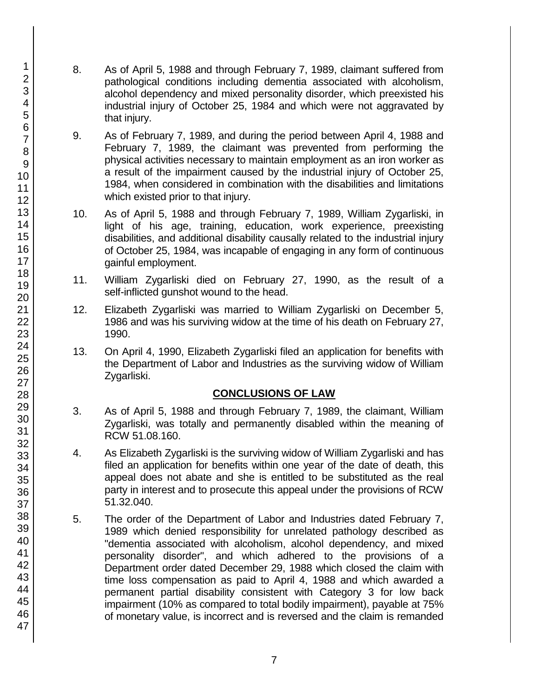- 8. As of April 5, 1988 and through February 7, 1989, claimant suffered from pathological conditions including dementia associated with alcoholism, alcohol dependency and mixed personality disorder, which preexisted his industrial injury of October 25, 1984 and which were not aggravated by that injury.
- 9. As of February 7, 1989, and during the period between April 4, 1988 and February 7, 1989, the claimant was prevented from performing the physical activities necessary to maintain employment as an iron worker as a result of the impairment caused by the industrial injury of October 25, 1984, when considered in combination with the disabilities and limitations which existed prior to that injury.
- 10. As of April 5, 1988 and through February 7, 1989, William Zygarliski, in light of his age, training, education, work experience, preexisting disabilities, and additional disability causally related to the industrial injury of October 25, 1984, was incapable of engaging in any form of continuous gainful employment.
- 11. William Zygarliski died on February 27, 1990, as the result of a self-inflicted gunshot wound to the head.
- 12. Elizabeth Zygarliski was married to William Zygarliski on December 5, 1986 and was his surviving widow at the time of his death on February 27, 1990.
- 13. On April 4, 1990, Elizabeth Zygarliski filed an application for benefits with the Department of Labor and Industries as the surviving widow of William Zygarliski.

# **CONCLUSIONS OF LAW**

- 3. As of April 5, 1988 and through February 7, 1989, the claimant, William Zygarliski, was totally and permanently disabled within the meaning of RCW 51.08.160.
- 4. As Elizabeth Zygarliski is the surviving widow of William Zygarliski and has filed an application for benefits within one year of the date of death, this appeal does not abate and she is entitled to be substituted as the real party in interest and to prosecute this appeal under the provisions of RCW 51.32.040.
- 5. The order of the Department of Labor and Industries dated February 7, 1989 which denied responsibility for unrelated pathology described as "dementia associated with alcoholism, alcohol dependency, and mixed personality disorder", and which adhered to the provisions of a Department order dated December 29, 1988 which closed the claim with time loss compensation as paid to April 4, 1988 and which awarded a permanent partial disability consistent with Category 3 for low back impairment (10% as compared to total bodily impairment), payable at 75% of monetary value, is incorrect and is reversed and the claim is remanded